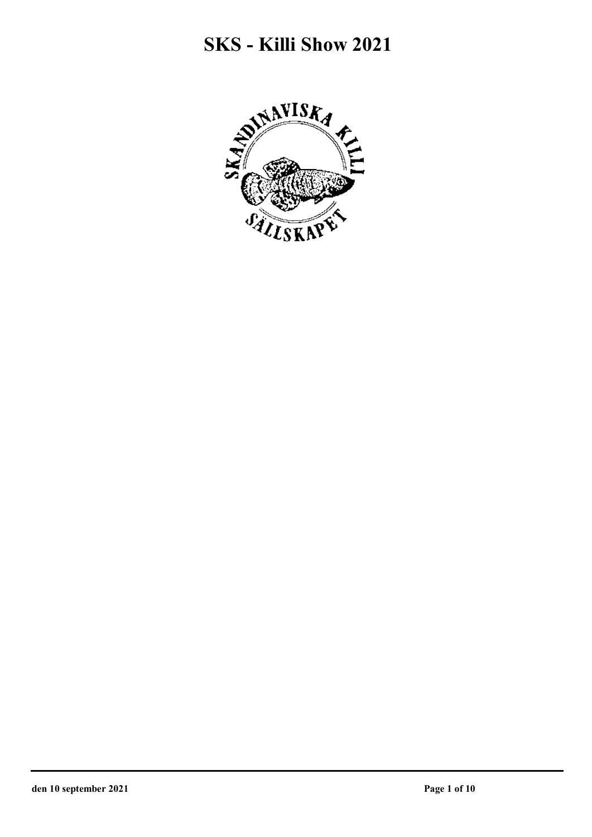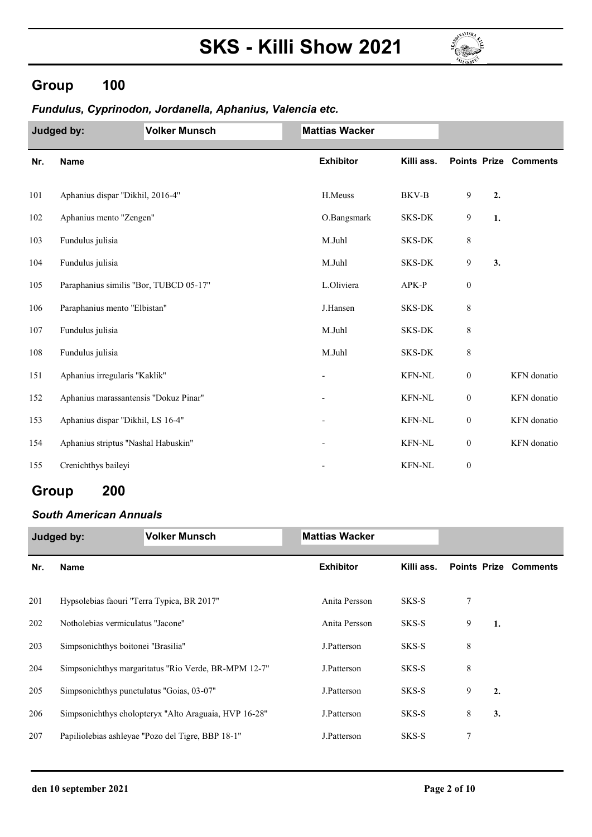

### Group 100

#### Fundulus, Cyprinodon, Jordanella, Aphanius, Valencia etc.

|     | Judged by:                             | <b>Volker Munsch</b> | <b>Mattias Wacker</b> |               |                  |    |                              |
|-----|----------------------------------------|----------------------|-----------------------|---------------|------------------|----|------------------------------|
| Nr. | Name                                   |                      | <b>Exhibitor</b>      | Killi ass.    |                  |    | <b>Points Prize Comments</b> |
| 101 | Aphanius dispar "Dikhil, 2016-4"       |                      | H.Meuss               | BKV-B         | 9                | 2. |                              |
| 102 | Aphanius mento "Zengen"                |                      | O.Bangsmark           | SKS-DK        | 9                | 1. |                              |
| 103 | Fundulus julisia                       |                      | M.Juhl                | SKS-DK        | 8                |    |                              |
| 104 | Fundulus julisia                       |                      | M.Juhl                | <b>SKS-DK</b> | 9                | 3. |                              |
| 105 | Paraphanius similis "Bor, TUBCD 05-17" |                      | L.Oliviera            | APK-P         | $\boldsymbol{0}$ |    |                              |
| 106 | Paraphanius mento "Elbistan"           |                      | J.Hansen              | SKS-DK        | 8                |    |                              |
| 107 | Fundulus julisia                       |                      | M.Juhl                | <b>SKS-DK</b> | 8                |    |                              |
| 108 | Fundulus julisia                       |                      | M.Juhl                | SKS-DK        | 8                |    |                              |
| 151 | Aphanius irregularis "Kaklik"          |                      |                       | <b>KFN-NL</b> | $\boldsymbol{0}$ |    | KFN donatio                  |
| 152 | Aphanius marassantensis "Dokuz Pinar"  |                      |                       | <b>KFN-NL</b> | $\boldsymbol{0}$ |    | KFN donatio                  |
| 153 | Aphanius dispar "Dikhil, LS 16-4"      |                      |                       | <b>KFN-NL</b> | $\boldsymbol{0}$ |    | KFN donatio                  |
| 154 | Aphanius striptus "Nashal Habuskin"    |                      |                       | <b>KFN-NL</b> | $\boldsymbol{0}$ |    | KFN donatio                  |
| 155 | Crenichthys baileyi                    |                      |                       | <b>KFN-NL</b> | $\boldsymbol{0}$ |    |                              |

## Group 200

#### South American Annuals

|     | Judged by:                                 | <b>Volker Munsch</b>                                  | <b>Mattias Wacker</b> |            |   |    |                              |
|-----|--------------------------------------------|-------------------------------------------------------|-----------------------|------------|---|----|------------------------------|
| Nr. | <b>Name</b>                                |                                                       | <b>Exhibitor</b>      | Killi ass. |   |    | <b>Points Prize Comments</b> |
| 201 | Hypsolebias faouri "Terra Typica, BR 2017" |                                                       | Anita Persson         | SKS-S      | 7 |    |                              |
| 202 | Notholebias vermiculatus "Jacone"          |                                                       | Anita Persson         | SKS-S      | 9 | 1. |                              |
| 203 | Simpsonichthys boitonei "Brasilia"         |                                                       | J.Patterson           | SKS-S      | 8 |    |                              |
| 204 |                                            | Simpsonichthys margaritatus "Rio Verde, BR-MPM 12-7"  | J.Patterson           | SKS-S      | 8 |    |                              |
| 205 | Simpsonichthys punctulatus "Goias, 03-07"  |                                                       | J.Patterson           | SKS-S      | 9 | 2. |                              |
| 206 |                                            | Simpsonichthys cholopteryx "Alto Araguaia, HVP 16-28" | J.Patterson           | SKS-S      | 8 | 3. |                              |
| 207 |                                            | Papiliolebias ashleyae "Pozo del Tigre, BBP 18-1"     | J.Patterson           | SKS-S      | 7 |    |                              |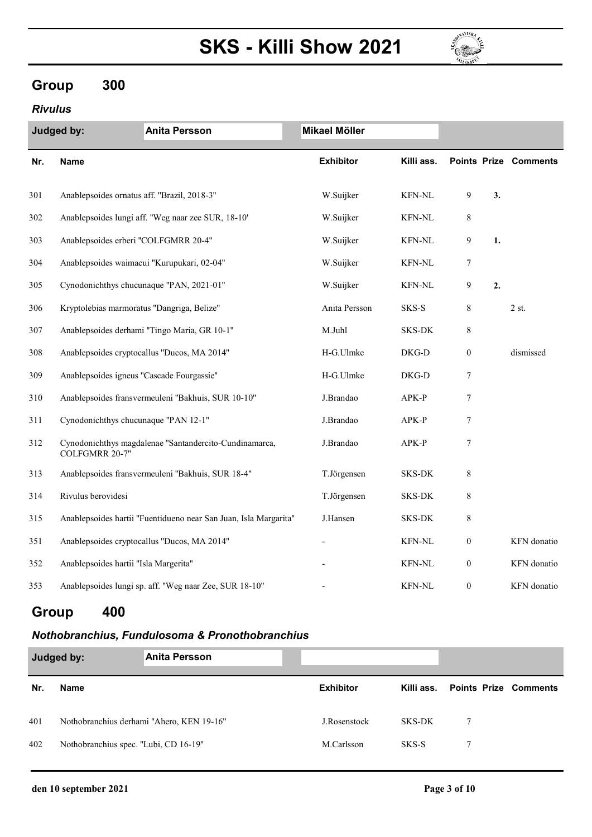

## Group 300

#### Rivulus

|     | <b>Anita Persson</b><br><b>Judged by:</b>                                | Mikael Möller    |               |                  |    |                              |
|-----|--------------------------------------------------------------------------|------------------|---------------|------------------|----|------------------------------|
| Nr. | <b>Name</b>                                                              | <b>Exhibitor</b> | Killi ass.    |                  |    | <b>Points Prize Comments</b> |
| 301 | Anablepsoides ornatus aff. "Brazil, 2018-3"                              | W.Suijker        | <b>KFN-NL</b> | 9                | 3. |                              |
| 302 | Anablepsoides lungi aff. "Weg naar zee SUR, 18-10"                       | W.Suijker        | <b>KFN-NL</b> | 8                |    |                              |
| 303 | Anablepsoides erberi "COLFGMRR 20-4"                                     | W.Suijker        | <b>KFN-NL</b> | 9                | 1. |                              |
| 304 | Anablepsoides waimacui "Kurupukari, 02-04"                               | W.Suijker        | <b>KFN-NL</b> | 7                |    |                              |
| 305 | Cynodonichthys chucunaque "PAN, 2021-01"                                 | W.Suijker        | <b>KFN-NL</b> | 9                | 2. |                              |
| 306 | Kryptolebias marmoratus "Dangriga, Belize"                               | Anita Persson    | SKS-S         | $\,8\,$          |    | 2st.                         |
| 307 | Anablepsoides derhami "Tingo Maria, GR 10-1"                             | M.Juhl           | SKS-DK        | 8                |    |                              |
| 308 | Anablepsoides cryptocallus "Ducos, MA 2014"                              | H-G.Ulmke        | DKG-D         | $\boldsymbol{0}$ |    | dismissed                    |
| 309 | Anablepsoides igneus "Cascade Fourgassie"                                | H-G.Ulmke        | DKG-D         | 7                |    |                              |
| 310 | Anablepsoides fransvermeuleni "Bakhuis, SUR 10-10"                       | J.Brandao        | APK-P         | $\overline{7}$   |    |                              |
| 311 | Cynodonichthys chucunaque "PAN 12-1"                                     | J.Brandao        | APK-P         | 7                |    |                              |
| 312 | Cynodonichthys magdalenae "Santandercito-Cundinamarca,<br>COLFGMRR 20-7" | J.Brandao        | APK-P         | 7                |    |                              |
| 313 | Anablepsoides fransvermeuleni "Bakhuis, SUR 18-4"                        | T.Jörgensen      | <b>SKS-DK</b> | 8                |    |                              |
| 314 | Rivulus berovidesi                                                       | T.Jörgensen      | SKS-DK        | $\,8\,$          |    |                              |
| 315 | Anablepsoides hartii "Fuentidueno near San Juan, Isla Margarita"         | J.Hansen         | <b>SKS-DK</b> | $\,8\,$          |    |                              |
| 351 | Anablepsoides cryptocallus "Ducos, MA 2014"                              |                  | <b>KFN-NL</b> | $\boldsymbol{0}$ |    | KFN donatio                  |
| 352 | Anablepsoides hartii "Isla Margerita"                                    |                  | <b>KFN-NL</b> | $\boldsymbol{0}$ |    | KFN donatio                  |
| 353 | Anablepsoides lungi sp. aff. "Weg naar Zee, SUR 18-10"                   |                  | <b>KFN-NL</b> | $\boldsymbol{0}$ |    | KFN donatio                  |

## Group 400

#### Nothobranchius, Fundulosoma & Pronothobranchius

| Judged by: |                                           | <b>Anita Persson</b> |                  |            |                              |  |
|------------|-------------------------------------------|----------------------|------------------|------------|------------------------------|--|
| Nr.        | <b>Name</b>                               |                      | <b>Exhibitor</b> | Killi ass. | <b>Points Prize Comments</b> |  |
| 401        | Nothobranchius derhami "Ahero, KEN 19-16" |                      | J.Rosenstock     | SKS-DK     |                              |  |
| 402        | Nothobranchius spec. "Lubi, CD 16-19"     |                      | M.Carlsson       | SKS-S      |                              |  |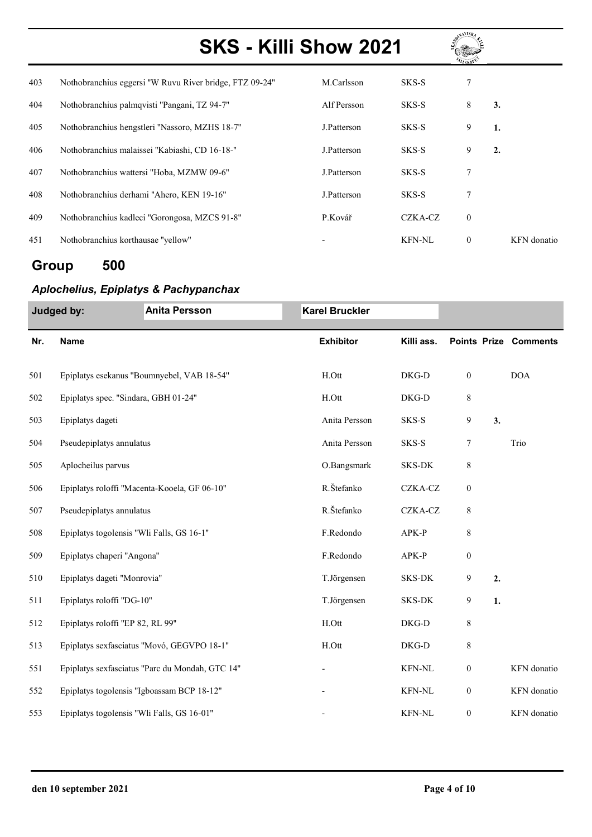

| 403 | Nothobranchius eggersi "W Ruvu River bridge, FTZ 09-24" | M.Carlsson  | SKS-S         | 7            |                  |             |
|-----|---------------------------------------------------------|-------------|---------------|--------------|------------------|-------------|
| 404 | Nothobranchius palmqvisti "Pangani, TZ 94-7"            | Alf Persson | SKS-S         | 8            | 3.               |             |
| 405 | Nothobranchius hengstleri "Nassoro, MZHS 18-7"          | J.Patterson | SKS-S         | 9            | 1.               |             |
| 406 | Nothobranchius malaissei "Kabiashi, CD 16-18-"          | J.Patterson | SKS-S         | 9            | $\overline{2}$ . |             |
| 407 | Nothobranchius wattersi "Hoba, MZMW 09-6"               | J.Patterson | SKS-S         | 7            |                  |             |
| 408 | Nothobranchius derhami "Ahero, KEN 19-16"               | J.Patterson | SKS-S         |              |                  |             |
| 409 | Nothobranchius kadleci "Gorongosa, MZCS 91-8"           | P.Kovář     | CZKA-CZ       | $\mathbf{0}$ |                  |             |
| 451 | Nothobranchius korthausae "yellow"                      |             | <b>KFN-NL</b> | $\theta$     |                  | KFN donatio |

## Group 500

#### Aplochelius, Epiplatys & Pachypanchax

|     | Judged by:                                 | <b>Anita Persson</b>                            | <b>Karel Bruckler</b> |               |                  |    |                              |
|-----|--------------------------------------------|-------------------------------------------------|-----------------------|---------------|------------------|----|------------------------------|
| Nr. | <b>Name</b>                                |                                                 | <b>Exhibitor</b>      | Killi ass.    |                  |    | <b>Points Prize Comments</b> |
| 501 |                                            | Epiplatys esekanus "Boumnyebel, VAB 18-54"      | H.Ott                 | DKG-D         | $\boldsymbol{0}$ |    | <b>DOA</b>                   |
| 502 | Epiplatys spec. "Sindara, GBH 01-24"       |                                                 | H.Ott                 | DKG-D         | $\,8\,$          |    |                              |
| 503 | Epiplatys dageti                           |                                                 | Anita Persson         | SKS-S         | 9                | 3. |                              |
| 504 | Pseudepiplatys annulatus                   |                                                 | Anita Persson         | SKS-S         | 7                |    | Trio                         |
| 505 | Aplocheilus parvus                         |                                                 | O.Bangsmark           | SKS-DK        | $\,$ 8 $\,$      |    |                              |
| 506 |                                            | Epiplatys roloffi "Macenta-Kooela, GF 06-10"    | R.Štefanko            | CZKA-CZ       | $\boldsymbol{0}$ |    |                              |
| 507 | Pseudepiplatys annulatus                   |                                                 | R.Štefanko            | CZKA-CZ       | $\,8\,$          |    |                              |
| 508 | Epiplatys togolensis "Wli Falls, GS 16-1"  |                                                 | F.Redondo             | APK-P         | 8                |    |                              |
| 509 | Epiplatys chaperi "Angona"                 |                                                 | F.Redondo             | APK-P         | $\boldsymbol{0}$ |    |                              |
| 510 | Epiplatys dageti "Monrovia"                |                                                 | T.Jörgensen           | SKS-DK        | 9                | 2. |                              |
| 511 | Epiplatys roloffi "DG-10"                  |                                                 | T.Jörgensen           | SKS-DK        | 9                | 1. |                              |
| 512 | Epiplatys roloffi "EP 82, RL 99"           |                                                 | H.Ott                 | DKG-D         | 8                |    |                              |
| 513 |                                            | Epiplatys sexfasciatus "Movó, GEGVPO 18-1"      | H.Ott                 | DKG-D         | $\,8\,$          |    |                              |
| 551 |                                            | Epiplatys sexfasciatus "Parc du Mondah, GTC 14" |                       | <b>KFN-NL</b> | $\boldsymbol{0}$ |    | KFN donatio                  |
| 552 | Epiplatys togolensis "Igboassam BCP 18-12" |                                                 |                       | <b>KFN-NL</b> | $\boldsymbol{0}$ |    | KFN donatio                  |
| 553 | Epiplatys togolensis "Wli Falls, GS 16-01" |                                                 |                       | <b>KFN-NL</b> | $\boldsymbol{0}$ |    | KFN donatio                  |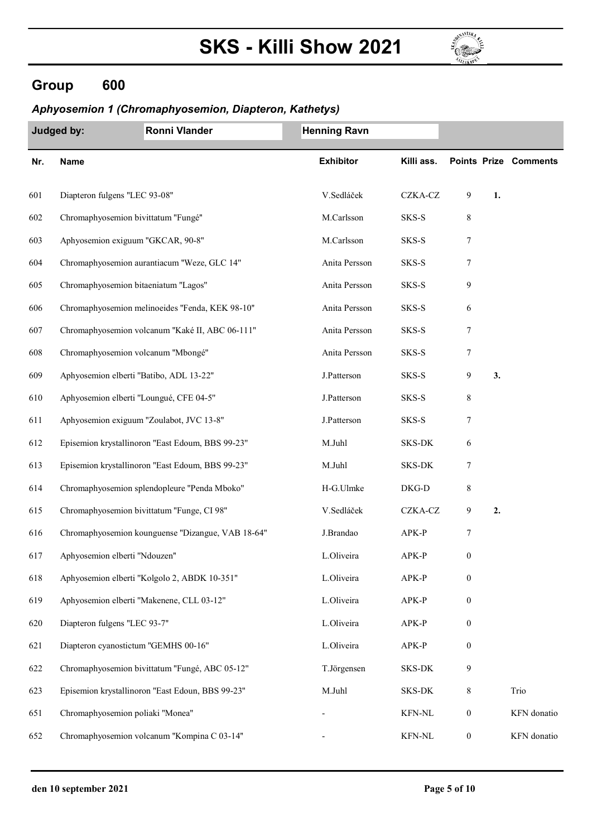

## Group 600

#### Aphyosemion 1 (Chromaphyosemion, Diapteron, Kathetys)

|     | Judged by:                    | Ronni Vlander                                     | <b>Henning Ravn</b> |               |                  |    |                              |
|-----|-------------------------------|---------------------------------------------------|---------------------|---------------|------------------|----|------------------------------|
| Nr. | <b>Name</b>                   |                                                   | <b>Exhibitor</b>    | Killi ass.    |                  |    | <b>Points Prize Comments</b> |
| 601 | Diapteron fulgens "LEC 93-08" |                                                   | V.Sedláček          | CZKA-CZ       | 9                | 1. |                              |
| 602 |                               | Chromaphyosemion bivittatum "Fungé"               | M.Carlsson          | SKS-S         | 8                |    |                              |
| 603 |                               | Aphyosemion exiguum "GKCAR, 90-8"                 | M.Carlsson          | SKS-S         | 7                |    |                              |
| 604 |                               | Chromaphyosemion aurantiacum "Weze, GLC 14"       | Anita Persson       | SKS-S         | 7                |    |                              |
| 605 |                               | Chromaphyosemion bitaeniatum "Lagos"              | Anita Persson       | SKS-S         | 9                |    |                              |
| 606 |                               | Chromaphyosemion melinoeides "Fenda, KEK 98-10"   | Anita Persson       | SKS-S         | 6                |    |                              |
| 607 |                               | Chromaphyosemion volcanum "Kaké II, ABC 06-111"   | Anita Persson       | SKS-S         | 7                |    |                              |
| 608 |                               | Chromaphyosemion volcanum "Mbongé"                | Anita Persson       | SKS-S         | 7                |    |                              |
| 609 |                               | Aphyosemion elberti "Batibo, ADL 13-22"           | J.Patterson         | SKS-S         | 9                | 3. |                              |
| 610 |                               | Aphyosemion elberti "Loungué, CFE 04-5"           | J.Patterson         | SKS-S         | 8                |    |                              |
| 611 |                               | Aphyosemion exiguum "Zoulabot, JVC 13-8"          | J.Patterson         | SKS-S         | 7                |    |                              |
| 612 |                               | Episemion krystallinoron "East Edoum, BBS 99-23"  | M.Juhl              | SKS-DK        | 6                |    |                              |
| 613 |                               | Episemion krystallinoron "East Edoum, BBS 99-23"  | M.Juhl              | <b>SKS-DK</b> | 7                |    |                              |
| 614 |                               | Chromaphyosemion splendopleure "Penda Mboko"      | H-G.Ulmke           | DKG-D         | 8                |    |                              |
| 615 |                               | Chromaphyosemion bivittatum "Funge, CI 98"        | V.Sedláček          | CZKA-CZ       | 9                | 2. |                              |
| 616 |                               | Chromaphyosemion kounguense "Dizangue, VAB 18-64" | J.Brandao           | APK-P         | 7                |    |                              |
| 617 | Aphyosemion elberti "Ndouzen" |                                                   | L.Oliveira          | APK-P         | $\boldsymbol{0}$ |    |                              |
| 618 |                               | Aphyosemion elberti "Kolgolo 2, ABDK 10-351"      | L.Oliveira          | APK-P         | $\boldsymbol{0}$ |    |                              |
| 619 |                               | Aphyosemion elberti "Makenene, CLL 03-12"         | L.Oliveira          | APK-P         | $\boldsymbol{0}$ |    |                              |
| 620 | Diapteron fulgens "LEC 93-7"  |                                                   | L.Oliveira          | APK-P         | $\boldsymbol{0}$ |    |                              |
| 621 |                               | Diapteron cyanostictum "GEMHS 00-16"              | L.Oliveira          | APK-P         | $\boldsymbol{0}$ |    |                              |
| 622 |                               | Chromaphyosemion bivittatum "Fungé, ABC 05-12"    | T.Jörgensen         | SKS-DK        | 9                |    |                              |
| 623 |                               | Episemion krystallinoron "East Edoun, BBS 99-23"  | M.Juhl              | SKS-DK        | $\,8\,$          |    | Trio                         |
| 651 |                               | Chromaphyosemion poliaki "Monea"                  |                     | <b>KFN-NL</b> | $\boldsymbol{0}$ |    | KFN donatio                  |
| 652 |                               | Chromaphyosemion volcanum "Kompina C 03-14"       |                     | KFN-NL        | $\boldsymbol{0}$ |    | KFN donatio                  |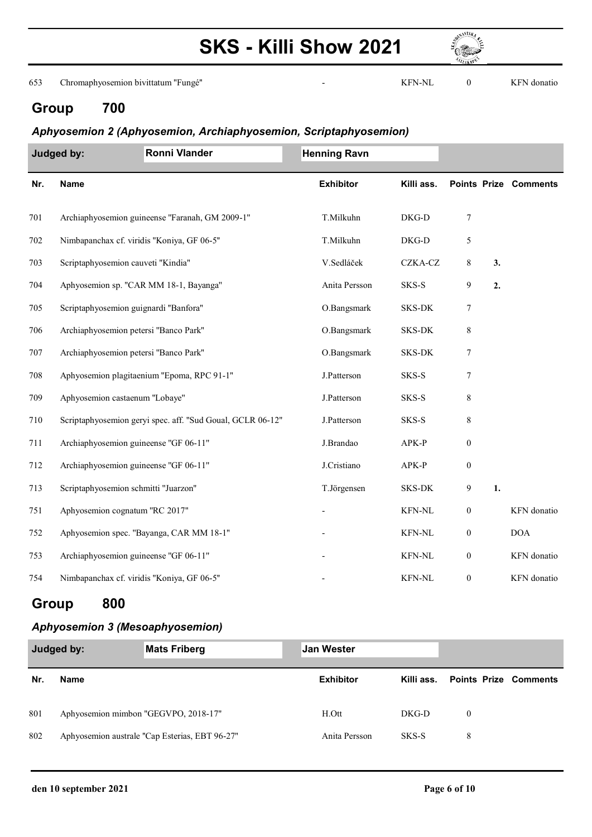

653 Chromaphyosemion bivittatum ''Fungé'' - 0 KFN donatio KFN-NL

## Group 700

#### Aphyosemion 2 (Aphyosemion, Archiaphyosemion, Scriptaphyosemion)

|     | Judged by:                                 | <b>Ronni Vlander</b>                                       | <b>Henning Ravn</b> |               |                  |    |                              |
|-----|--------------------------------------------|------------------------------------------------------------|---------------------|---------------|------------------|----|------------------------------|
| Nr. | Name                                       |                                                            | <b>Exhibitor</b>    | Killi ass.    |                  |    | <b>Points Prize Comments</b> |
| 701 |                                            | Archiaphyosemion guineense "Faranah, GM 2009-1"            | T.Milkuhn           | DKG-D         | $\boldsymbol{7}$ |    |                              |
| 702 | Nimbapanchax cf. viridis "Koniya, GF 06-5" |                                                            | T.Milkuhn           | DKG-D         | 5                |    |                              |
| 703 | Scriptaphyosemion cauveti "Kindia"         |                                                            | V.Sedláček          | CZKA-CZ       | 8                | 3. |                              |
| 704 |                                            | Aphyosemion sp. "CAR MM 18-1, Bayanga"                     | Anita Persson       | SKS-S         | 9                | 2. |                              |
| 705 | Scriptaphyosemion guignardi "Banfora"      |                                                            | O.Bangsmark         | <b>SKS-DK</b> | $\boldsymbol{7}$ |    |                              |
| 706 | Archiaphyosemion petersi "Banco Park"      |                                                            | O.Bangsmark         | SKS-DK        | 8                |    |                              |
| 707 | Archiaphyosemion petersi "Banco Park"      |                                                            | O.Bangsmark         | SKS-DK        | 7                |    |                              |
| 708 |                                            | Aphyosemion plagitaenium "Epoma, RPC 91-1"                 | J.Patterson         | SKS-S         | 7                |    |                              |
| 709 | Aphyosemion castaenum "Lobaye"             |                                                            | J.Patterson         | SKS-S         | $\,$ $\,$        |    |                              |
| 710 |                                            | Scriptaphyosemion geryi spec. aff. "Sud Goual, GCLR 06-12" | J.Patterson         | SKS-S         | 8                |    |                              |
| 711 | Archiaphyosemion guineense "GF 06-11"      |                                                            | J.Brandao           | APK-P         | $\mathbf{0}$     |    |                              |
| 712 | Archiaphyosemion guineense "GF 06-11"      |                                                            | J.Cristiano         | APK-P         | $\boldsymbol{0}$ |    |                              |
| 713 | Scriptaphyosemion schmitti "Juarzon"       |                                                            | T.Jörgensen         | <b>SKS-DK</b> | 9                | 1. |                              |
| 751 | Aphyosemion cognatum "RC 2017"             |                                                            |                     | <b>KFN-NL</b> | $\boldsymbol{0}$ |    | KFN donatio                  |
| 752 |                                            | Aphyosemion spec. "Bayanga, CAR MM 18-1"                   |                     | KFN-NL        | $\boldsymbol{0}$ |    | <b>DOA</b>                   |
| 753 | Archiaphyosemion guineense "GF 06-11"      |                                                            |                     | <b>KFN-NL</b> | $\boldsymbol{0}$ |    | KFN donatio                  |
| 754 | Nimbapanchax cf. viridis "Koniya, GF 06-5" |                                                            |                     | <b>KFN-NL</b> | $\boldsymbol{0}$ |    | KFN donatio                  |

### Group 800

#### Aphyosemion 3 (Mesoaphyosemion)

| Judged by: |                                      | <b>Mats Friberg</b>                            | <b>Jan Wester</b> |         |                                  |  |
|------------|--------------------------------------|------------------------------------------------|-------------------|---------|----------------------------------|--|
| Nr.        | Name                                 |                                                | <b>Exhibitor</b>  |         | Killi ass. Points Prize Comments |  |
| 801        | Aphyosemion mimbon "GEGVPO, 2018-17" |                                                | H.Ott             | $DKG-D$ | $\overline{0}$                   |  |
| 802        |                                      | Aphyosemion australe "Cap Esterias, EBT 96-27" | Anita Persson     | SKS-S   | 8                                |  |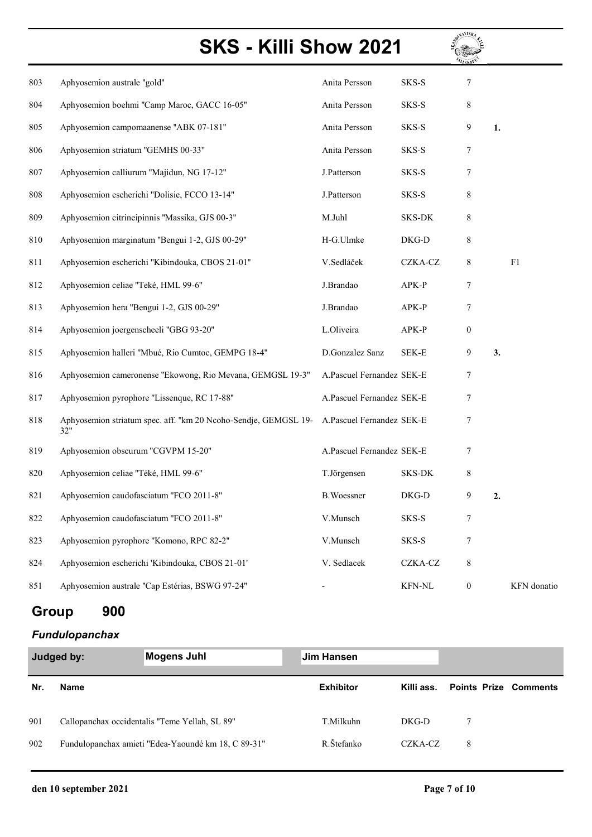| 803 | Aphyosemion australe "gold"                                            | Anita Persson             | SKS-S         | 7                |    |             |
|-----|------------------------------------------------------------------------|---------------------------|---------------|------------------|----|-------------|
| 804 | Aphyosemion boehmi "Camp Maroc, GACC 16-05"                            | Anita Persson             | SKS-S         | 8                |    |             |
| 805 | Aphyosemion campomaanense "ABK 07-181"                                 | Anita Persson             | SKS-S         | 9                | 1. |             |
| 806 | Aphyosemion striatum "GEMHS 00-33"                                     | Anita Persson             | SKS-S         | 7                |    |             |
| 807 | Aphyosemion calliurum "Majidun, NG 17-12"                              | J.Patterson               | SKS-S         | 7                |    |             |
| 808 | Aphyosemion escherichi "Dolisie, FCCO 13-14"                           | J.Patterson               | SKS-S         | 8                |    |             |
| 809 | Aphyosemion citrineipinnis "Massika, GJS 00-3"                         | M.Juhl                    | SKS-DK        | 8                |    |             |
| 810 | Aphyosemion marginatum "Bengui 1-2, GJS 00-29"                         | H-G.Ulmke                 | DKG-D         | 8                |    |             |
| 811 | Aphyosemion escherichi "Kibindouka, CBOS 21-01"                        | V.Sedláček                | CZKA-CZ       | 8                |    | F1          |
| 812 | Aphyosemion celiae "Teké, HML 99-6"                                    | J.Brandao                 | APK-P         | 7                |    |             |
| 813 | Aphyosemion hera "Bengui 1-2, GJS 00-29"                               | J.Brandao                 | APK-P         | 7                |    |             |
| 814 | Aphyosemion joergenscheeli "GBG 93-20"                                 | L.Oliveira                | APK-P         | $\boldsymbol{0}$ |    |             |
| 815 | Aphyosemion halleri "Mbué, Rio Cumtoc, GEMPG 18-4"                     | D.Gonzalez Sanz           | SEK-E         | 9                | 3. |             |
| 816 | Aphyosemion cameronense "Ekowong, Rio Mevana, GEMGSL 19-3"             | A.Pascuel Fernandez SEK-E |               | 7                |    |             |
| 817 | Aphyosemion pyrophore "Lissenque, RC 17-88"                            | A.Pascuel Fernandez SEK-E |               | 7                |    |             |
| 818 | Aphyosemion striatum spec. aff. "km 20 Ncoho-Sendje, GEMGSL 19-<br>32" | A.Pascuel Fernandez SEK-E |               | 7                |    |             |
| 819 | Aphyosemion obscurum "CGVPM 15-20"                                     | A.Pascuel Fernandez SEK-E |               | 7                |    |             |
| 820 | Aphyosemion celiae "Téké, HML 99-6"                                    | T.Jörgensen               | SKS-DK        | 8                |    |             |
| 821 | Aphyosemion caudofasciatum "FCO 2011-8"                                | <b>B.Woessner</b>         | DKG-D         | 9                | 2. |             |
| 822 | Aphyosemion caudofasciatum "FCO 2011-8"                                | V.Munsch                  | SKS-S         | 7                |    |             |
| 823 | Aphyosemion pyrophore "Komono, RPC 82-2"                               | V.Munsch                  | SKS-S         | 7                |    |             |
| 824 | Aphyosemion escherichi 'Kibindouka, CBOS 21-01'                        | V. Sedlacek               | CZKA-CZ       | $\,8\,$          |    |             |
| 851 | Aphyosemion australe "Cap Estérias, BSWG 97-24"                        |                           | <b>KFN-NL</b> | $\boldsymbol{0}$ |    | KFN donatio |

## Group 900

#### Fundulopanchax

| Judged by: |                                                | <b>Mogens Juhl</b>                                  | <b>Jim Hansen</b> |            |                              |  |
|------------|------------------------------------------------|-----------------------------------------------------|-------------------|------------|------------------------------|--|
| Nr.        | <b>Name</b>                                    |                                                     | <b>Exhibitor</b>  | Killi ass. | <b>Points Prize Comments</b> |  |
| 901        | Callopanchax occidentalis "Teme Yellah, SL 89" |                                                     | T.Milkuhn         | $DKG-D$    | 7                            |  |
| 902        |                                                | Fundulopanchax amieti "Edea-Yaoundé km 18, C 89-31" | R.Štefanko        | CZKA-CZ    | 8                            |  |

**RATIONAL ALL**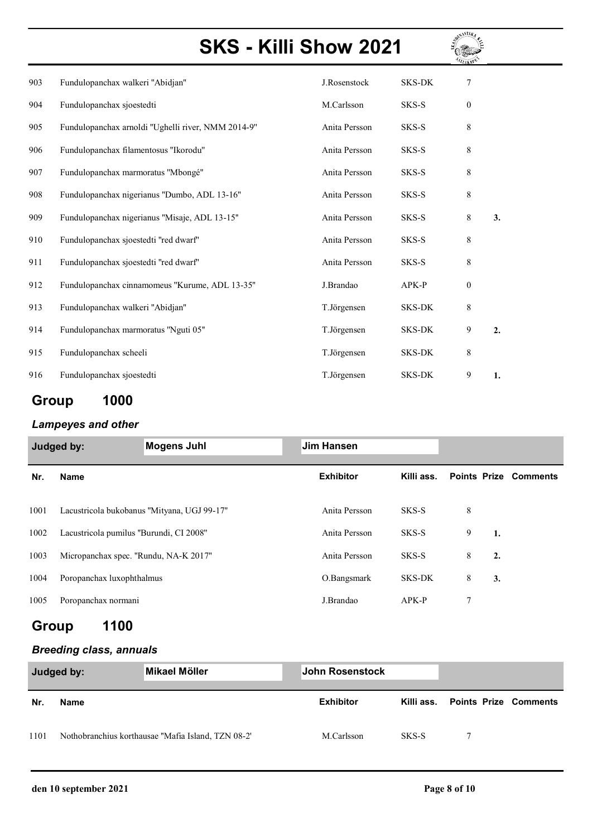

| 903 | Fundulopanchax walkeri "Abidjan"                   | J.Rosenstock  | <b>SKS-DK</b> | 7            |    |
|-----|----------------------------------------------------|---------------|---------------|--------------|----|
| 904 | Fundulopanchax sjoestedti                          | M.Carlsson    | SKS-S         | 0            |    |
| 905 | Fundulopanchax arnoldi "Ughelli river, NMM 2014-9" | Anita Persson | SKS-S         | 8            |    |
| 906 | Fundulopanchax filamentosus "Ikorodu"              | Anita Persson | SKS-S         | 8            |    |
| 907 | Fundulopanchax marmoratus "Mbongé"                 | Anita Persson | SKS-S         | 8            |    |
| 908 | Fundulopanchax nigerianus "Dumbo, ADL 13-16"       | Anita Persson | SKS-S         | 8            |    |
| 909 | Fundulopanchax nigerianus "Misaje, ADL 13-15"      | Anita Persson | SKS-S         | 8            | 3. |
| 910 | Fundulopanchax sjoestedti "red dwarf"              | Anita Persson | SKS-S         | 8            |    |
| 911 | Fundulopanchax sjoestedti "red dwarf"              | Anita Persson | SKS-S         | 8            |    |
| 912 | Fundulopanchax cinnamomeus "Kurume, ADL 13-35"     | J.Brandao     | APK-P         | $\mathbf{0}$ |    |
| 913 | Fundulopanchax walkeri "Abidjan"                   | T.Jörgensen   | <b>SKS-DK</b> | 8            |    |
| 914 | Fundulopanchax marmoratus "Nguti 05"               | T.Jörgensen   | <b>SKS-DK</b> | 9            | 2. |
| 915 | Fundulopanchax scheeli                             | T.Jörgensen   | <b>SKS-DK</b> | 8            |    |
| 916 | Fundulopanchax sjoestedti                          | T.Jörgensen   | <b>SKS-DK</b> | 9            | 1. |

## Group 1000

### Lampeyes and other

| Judged by: |                                         | <b>Mogens Juhl</b>                          | <b>Jim Hansen</b> |            |                              |  |
|------------|-----------------------------------------|---------------------------------------------|-------------------|------------|------------------------------|--|
| Nr.        | <b>Name</b>                             |                                             | <b>Exhibitor</b>  | Killi ass. | <b>Points Prize Comments</b> |  |
| 1001       |                                         | Lacustricola bukobanus "Mityana, UGJ 99-17" | Anita Persson     | SKS-S      | 8                            |  |
| 1002       | Lacustricola pumilus "Burundi, CI 2008" |                                             | Anita Persson     | SKS-S      | 9<br>1.                      |  |
| 1003       | Micropanchax spec. "Rundu, NA-K 2017"   |                                             | Anita Persson     | SKS-S      | 8<br>2.                      |  |
| 1004       | Poropanchax luxophthalmus               |                                             | O.Bangsmark       | SKS-DK     | 8<br>3.                      |  |
| 1005       | Poropanchax normani                     |                                             | J.Brandao         | $APK-P$    | 7                            |  |

### Group 1100

#### Breeding class, annuals

| Judged by: |      | ∣Mikael Möller                                     | John Rosenstock  |       |                                   |  |
|------------|------|----------------------------------------------------|------------------|-------|-----------------------------------|--|
| Nr.        | Name |                                                    | <b>Exhibitor</b> |       | Killi ass.  Points Prize Comments |  |
| 1101       |      | Nothobranchius korthausae "Mafia Island, TZN 08-2" | M.Carlsson       | SKS-S |                                   |  |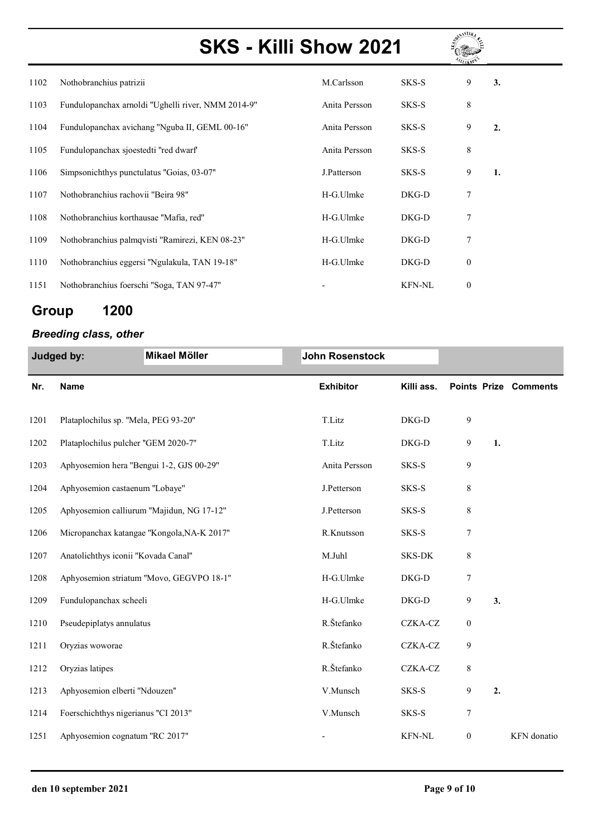

| 1102 | Nothobranchius patrizii                            | M.Carlsson    | SKS-S         | 9                | 3. |
|------|----------------------------------------------------|---------------|---------------|------------------|----|
| 1103 | Fundulopanchax arnoldi "Ughelli river, NMM 2014-9" | Anita Persson | SKS-S         | 8                |    |
| 1104 | Fundulopanchax avichang "Nguba II, GEML 00-16"     | Anita Persson | SKS-S         | 9                | 2. |
| 1105 | Fundulopanchax sjoestedti "red dwarf"              | Anita Persson | SKS-S         | $\,8\,$          |    |
| 1106 | Simpsonichthys punctulatus "Goias, 03-07"          | J.Patterson   | SKS-S         | 9                | 1. |
| 1107 | Nothobranchius rachovii "Beira 98"                 | H-G.Ulmke     | DKG-D         | 7                |    |
| 1108 | Nothobranchius korthausae "Mafia, red"             | H-G.Ulmke     | DKG-D         | 7                |    |
| 1109 | Nothobranchius palmqvisti "Ramirezi, KEN 08-23"    | H-G.Ulmke     | DKG-D         | 7                |    |
| 1110 | Nothobranchius eggersi "Ngulakula, TAN 19-18"      | H-G.Ulmke     | DKG-D         | $\boldsymbol{0}$ |    |
| 1151 | Nothobranchius foerschi "Soga, TAN 97-47"          |               | <b>KFN-NL</b> | $\boldsymbol{0}$ |    |

## Group 1200

#### Breeding class, other

| Judged by: |                                      | Mikael Möller                              | <b>John Rosenstock</b> |               |                  |    |                              |
|------------|--------------------------------------|--------------------------------------------|------------------------|---------------|------------------|----|------------------------------|
| Nr.        | <b>Name</b>                          |                                            | <b>Exhibitor</b>       | Killi ass.    |                  |    | <b>Points Prize Comments</b> |
| 1201       | Plataplochilus sp. "Mela, PEG 93-20" |                                            | T.Litz                 | DKG-D         | 9                |    |                              |
| 1202       | Plataplochilus pulcher "GEM 2020-7"  |                                            | T.Litz                 | DKG-D         | 9                | 1. |                              |
| 1203       |                                      | Aphyosemion hera "Bengui 1-2, GJS 00-29"   | Anita Persson          | SKS-S         | 9                |    |                              |
| 1204       | Aphyosemion castaenum "Lobaye"       |                                            | J.Petterson            | SKS-S         | 8                |    |                              |
| 1205       |                                      | Aphyosemion calliurum "Majidun, NG 17-12"  | J.Petterson            | SKS-S         | $\,$ $\,$        |    |                              |
| 1206       |                                      | Micropanchax katangae "Kongola, NA-K 2017" | R.Knutsson             | SKS-S         | 7                |    |                              |
| 1207       | Anatolichthys iconii "Kovada Canal"  |                                            | M.Juhl                 | SKS-DK        | 8                |    |                              |
| 1208       |                                      | Aphyosemion striatum "Movo, GEGVPO 18-1"   | H-G.Ulmke              | DKG-D         | 7                |    |                              |
| 1209       | Fundulopanchax scheeli               |                                            | H-G.Ulmke              | DKG-D         | 9                | 3. |                              |
| 1210       | Pseudepiplatys annulatus             |                                            | R.Štefanko             | CZKA-CZ       | $\boldsymbol{0}$ |    |                              |
| 1211       | Oryzias woworae                      |                                            | R.Štefanko             | CZKA-CZ       | 9                |    |                              |
| 1212       | Oryzias latipes                      |                                            | R.Štefanko             | CZKA-CZ       | 8                |    |                              |
| 1213       | Aphyosemion elberti "Ndouzen"        |                                            | V.Munsch               | SKS-S         | 9                | 2. |                              |
| 1214       | Foerschichthys nigerianus "CI 2013"  |                                            | V.Munsch               | SKS-S         | 7                |    |                              |
| 1251       | Aphyosemion cognatum "RC 2017"       |                                            |                        | <b>KFN-NL</b> | $\boldsymbol{0}$ |    | KFN donatio                  |